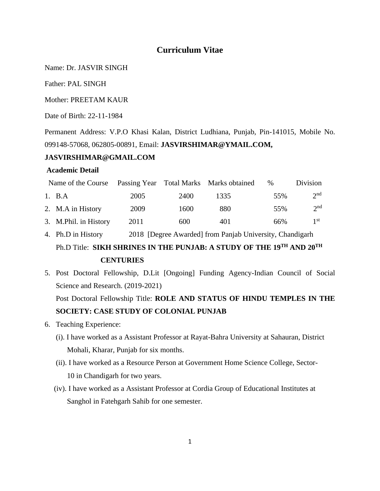# **Curriculum Vitae**

Name: Dr. JASVIR SINGH

Father: PAL SINGH

Mother: PREETAM KAUR

Date of Birth: 22-11-1984

Permanent Address: V.P.O Khasi Kalan, District Ludhiana, Punjab, Pin-141015, Mobile No. 099148-57068, 062805-00891, Email: **[JASVIRSHIMAR@YMAIL.COM,](mailto:jasvirshimar@ymail.com)** 

## **JASVIRSHIMAR@GMAIL.COM**

## **Academic Detail**

| Name of the Course Passing Year Total Marks Marks obtained |                       |      |      |      | $\%$ | Division        |
|------------------------------------------------------------|-----------------------|------|------|------|------|-----------------|
|                                                            | 1. B.A                | 2005 | 2400 | 1335 | 55%  | 2 <sup>nd</sup> |
|                                                            | 2. M.A in History     | 2009 | 1600 | 880  | 55%  | 2 <sup>nd</sup> |
|                                                            | 3. M.Phil. in History | 2011 | 600  | 401  | 66%  | 1 <sup>st</sup> |

- 4. Ph.D in History 2018 [Degree Awarded] from Panjab University, Chandigarh Ph.D Title: **SIKH SHRINES IN THE PUNJAB: A STUDY OF THE 19TH AND 20TH CENTURIES**
- 5. Post Doctoral Fellowship, D.Lit [Ongoing] Funding Agency-Indian Council of Social Science and Research. (2019-2021)

Post Doctoral Fellowship Title: **ROLE AND STATUS OF HINDU TEMPLES IN THE SOCIETY: CASE STUDY OF COLONIAL PUNJAB** 

- 6. Teaching Experience:
	- (i). I have worked as a Assistant Professor at Rayat-Bahra University at Sahauran, District Mohali, Kharar, Punjab for six months.
	- (ii). I have worked as a Resource Person at Government Home Science College, Sector-10 in Chandigarh for two years.
	- (iv). I have worked as a Assistant Professor at Cordia Group of Educational Institutes at Sanghol in Fatehgarh Sahib for one semester.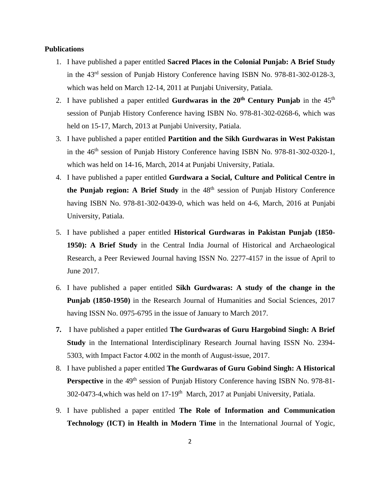#### **Publications**

- 1. I have published a paper entitled **Sacred Places in the Colonial Punjab: A Brief Study**  in the 43rd session of Punjab History Conference having ISBN No. 978-81-302-0128-3, which was held on March 12-14, 2011 at Punjabi University, Patiala.
- 2. I have published a paper entitled **Gurdwaras in the 20th Century Punjab** in the 45th session of Punjab History Conference having ISBN No. 978-81-302-0268-6, which was held on 15-17, March, 2013 at Punjabi University, Patiala.
- 3. I have published a paper entitled **Partition and the Sikh Gurdwaras in West Pakistan** in the 46<sup>th</sup> session of Punjab History Conference having ISBN No. 978-81-302-0320-1, which was held on 14-16, March, 2014 at Punjabi University, Patiala.
- 4. I have published a paper entitled **Gurdwara a Social, Culture and Political Centre in the Punjab region: A Brief Study** in the 48th session of Punjab History Conference having ISBN No. 978-81-302-0439-0, which was held on 4-6, March, 2016 at Punjabi University, Patiala.
- 5. I have published a paper entitled **Historical Gurdwaras in Pakistan Punjab (1850- 1950): A Brief Study** in the Central India Journal of Historical and Archaeological Research, a Peer Reviewed Journal having ISSN No. 2277-4157 in the issue of April to June 2017.
- 6. I have published a paper entitled **Sikh Gurdwaras: A study of the change in the Punjab (1850-1950)** in the Research Journal of Humanities and Social Sciences, 2017 having ISSN No. 0975-6795 in the issue of January to March 2017.
- **7.** I have published a paper entitled **The Gurdwaras of Guru Hargobind Singh: A Brief Study** in the International Interdisciplinary Research Journal having ISSN No. 2394- 5303, with Impact Factor 4.002 in the month of August-issue, 2017.
- 8. I have published a paper entitled **The Gurdwaras of Guru Gobind Singh: A Historical**  Perspective in the 49<sup>th</sup> session of Punjab History Conference having ISBN No. 978-81-302-0473-4, which was held on 17-19<sup>th</sup> March, 2017 at Punjabi University, Patiala.
- 9. I have published a paper entitled **The Role of Information and Communication Technology (ICT) in Health in Modern Time** in the International Journal of Yogic,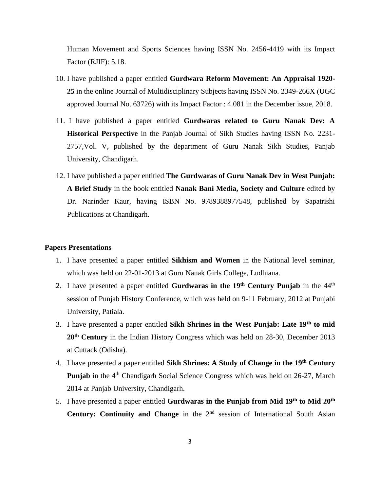Human Movement and Sports Sciences having ISSN No. 2456-4419 with its Impact Factor (RJIF): 5.18.

- 10. I have published a paper entitled **Gurdwara Reform Movement: An Appraisal 1920- 25** in the online Journal of Multidisciplinary Subjects having ISSN No. 2349-266X (UGC approved Journal No. 63726) with its Impact Factor : 4.081 in the December issue, 2018.
- 11. I have published a paper entitled **Gurdwaras related to Guru Nanak Dev: A Historical Perspective** in the Panjab Journal of Sikh Studies having ISSN No. 2231- 2757,Vol. V, published by the department of Guru Nanak Sikh Studies, Panjab University, Chandigarh.
- 12. I have published a paper entitled **The Gurdwaras of Guru Nanak Dev in West Punjab: A Brief Study** in the book entitled **Nanak Bani Media, Society and Culture** edited by Dr. Narinder Kaur, having ISBN No. 9789388977548, published by Sapatrishi Publications at Chandigarh.

#### **Papers Presentations**

- 1. I have presented a paper entitled **Sikhism and Women** in the National level seminar, which was held on 22-01-2013 at Guru Nanak Girls College, Ludhiana.
- 2. I have presented a paper entitled **Gurdwaras in the 19th Century Punjab** in the 44th session of Punjab History Conference, which was held on 9-11 February, 2012 at Punjabi University, Patiala.
- 3. I have presented a paper entitled **Sikh Shrines in the West Punjab: Late 19th to mid 20th Century** in the Indian History Congress which was held on 28-30, December 2013 at Cuttack (Odisha).
- 4. I have presented a paper entitled **Sikh Shrines: A Study of Change in the 19th Century Punjab** in the 4<sup>th</sup> Chandigarh Social Science Congress which was held on 26-27, March 2014 at Panjab University, Chandigarh.
- 5. I have presented a paper entitled **Gurdwaras in the Punjab from Mid 19th to Mid 20th Century: Continuity and Change** in the 2<sup>nd</sup> session of International South Asian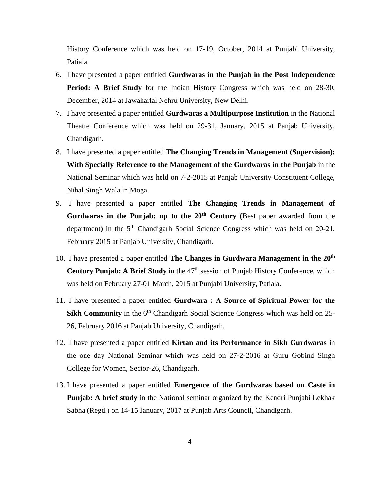History Conference which was held on 17-19, October, 2014 at Punjabi University, Patiala.

- 6. I have presented a paper entitled **Gurdwaras in the Punjab in the Post Independence Period: A Brief Study** for the Indian History Congress which was held on 28-30, December, 2014 at Jawaharlal Nehru University, New Delhi.
- 7. I have presented a paper entitled **Gurdwaras a Multipurpose Institution** in the National Theatre Conference which was held on 29-31, January, 2015 at Panjab University, Chandigarh.
- 8. I have presented a paper entitled **The Changing Trends in Management (Supervision): With Specially Reference to the Management of the Gurdwaras in the Punjab** in the National Seminar which was held on 7-2-2015 at Panjab University Constituent College, Nihal Singh Wala in Moga.
- 9. I have presented a paper entitled **The Changing Trends in Management of Gurdwaras in the Punjab: up to the 20th Century (**Best paper awarded from the department) in the 5<sup>th</sup> Chandigarh Social Science Congress which was held on 20-21, February 2015 at Panjab University, Chandigarh.
- 10. I have presented a paper entitled **The Changes in Gurdwara Management in the 20th Century Punjab: A Brief Study** in the 47<sup>th</sup> session of Punjab History Conference, which was held on February 27-01 March, 2015 at Punjabi University, Patiala.
- 11. I have presented a paper entitled **Gurdwara : A Source of Spiritual Power for the Sikh Community** in the 6<sup>th</sup> Chandigarh Social Science Congress which was held on 25-26, February 2016 at Panjab University, Chandigarh.
- 12. I have presented a paper entitled **Kirtan and its Performance in Sikh Gurdwaras** in the one day National Seminar which was held on 27-2-2016 at Guru Gobind Singh College for Women, Sector-26, Chandigarh.
- 13. I have presented a paper entitled **Emergence of the Gurdwaras based on Caste in Punjab: A brief study** in the National seminar organized by the Kendri Punjabi Lekhak Sabha (Regd.) on 14-15 January, 2017 at Punjab Arts Council, Chandigarh.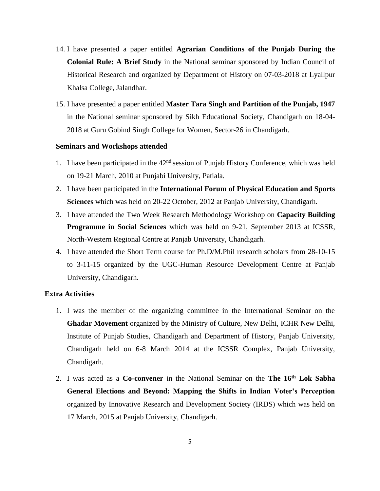- 14. I have presented a paper entitled **Agrarian Conditions of the Punjab During the Colonial Rule: A Brief Study** in the National seminar sponsored by Indian Council of Historical Research and organized by Department of History on 07-03-2018 at Lyallpur Khalsa College, Jalandhar.
- 15. I have presented a paper entitled **Master Tara Singh and Partition of the Punjab, 1947** in the National seminar sponsored by Sikh Educational Society, Chandigarh on 18-04- 2018 at Guru Gobind Singh College for Women, Sector-26 in Chandigarh.

#### **Seminars and Workshops attended**

- 1. I have been participated in the  $42<sup>nd</sup>$  session of Punjab History Conference, which was held on 19-21 March, 2010 at Punjabi University, Patiala.
- 2. I have been participated in the **International Forum of Physical Education and Sports Sciences** which was held on 20-22 October, 2012 at Panjab University, Chandigarh.
- 3. I have attended the Two Week Research Methodology Workshop on **Capacity Building Programme in Social Sciences** which was held on 9-21, September 2013 at ICSSR, North-Western Regional Centre at Panjab University, Chandigarh.
- 4. I have attended the Short Term course for Ph.D/M.Phil research scholars from 28-10-15 to 3-11-15 organized by the UGC-Human Resource Development Centre at Panjab University, Chandigarh.

#### **Extra Activities**

- 1. I was the member of the organizing committee in the International Seminar on the **Ghadar Movement** organized by the Ministry of Culture, New Delhi, ICHR New Delhi, Institute of Punjab Studies, Chandigarh and Department of History, Panjab University, Chandigarh held on 6-8 March 2014 at the ICSSR Complex, Panjab University, Chandigarh.
- 2. I was acted as a **Co-convener** in the National Seminar on the **The 16th Lok Sabha General Elections and Beyond: Mapping the Shifts in Indian Voter's Perception** organized by Innovative Research and Development Society (IRDS) which was held on 17 March, 2015 at Panjab University, Chandigarh.